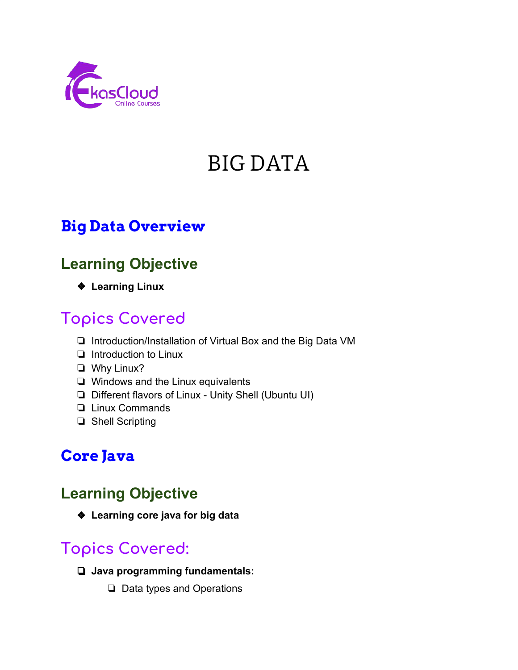

# BIG DATA

### **Big Data Overview**

### **Learning Objective**

❖ **Learning Linux**

### **Topics Covered**

- ❏ Introduction/Installation of Virtual Box and the Big Data VM
- ❏ Introduction to Linux
- ❏ Why Linux?
- ❏ Windows and the Linux equivalents
- ❏ Different flavors of Linux Unity Shell (Ubuntu UI)
- ❏ Linux Commands
- ❏ Shell Scripting

### **Core Java**

### **Learning Objective**

❖ **Learning core java for big data**

- ❏ **Java programming fundamentals:**
	- ❏ Data types and Operations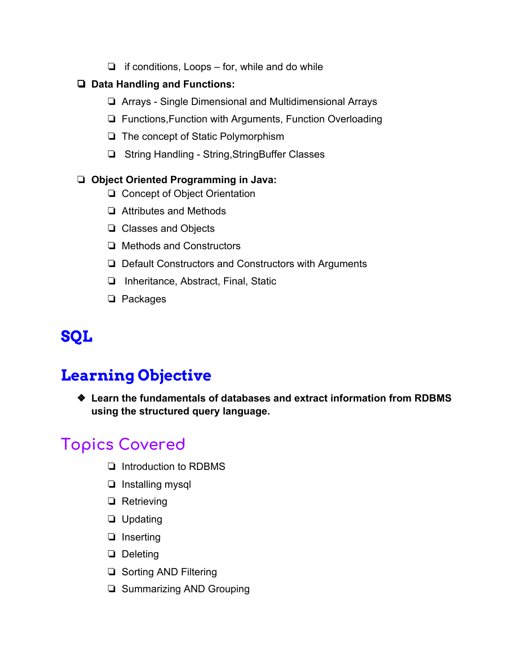$\Box$  if conditions, Loops – for, while and do while

#### ❏ **Data Handling and Functions:**

- ❏ Arrays Single Dimensional and Multidimensional Arrays
- ❏ Functions,Function with Arguments, Function Overloading
- ❏ The concept of Static Polymorphism
- ❏ String Handling String,StringBuffer Classes

#### ❏ **Object Oriented Programming in Java:**

- ❏ Concept of Object Orientation
- ❏ Attributes and Methods
- ❏ Classes and Objects
- ❏ Methods and Constructors
- ❏ Default Constructors and Constructors with Arguments
- ❏ Inheritance, Abstract, Final, Static
- ❏ Packages

## **SQL**

### **Learning Objective**

❖ **Learn the fundamentals of databases and extract information from RDBMS using the structured query language.**

- ❏ Introduction to RDBMS
- ❏ Installing mysql
- ❏ Retrieving
- ❏ Updating
- ❏ Inserting
- ❏ Deleting
- ❏ Sorting AND Filtering
- ❏ Summarizing AND Grouping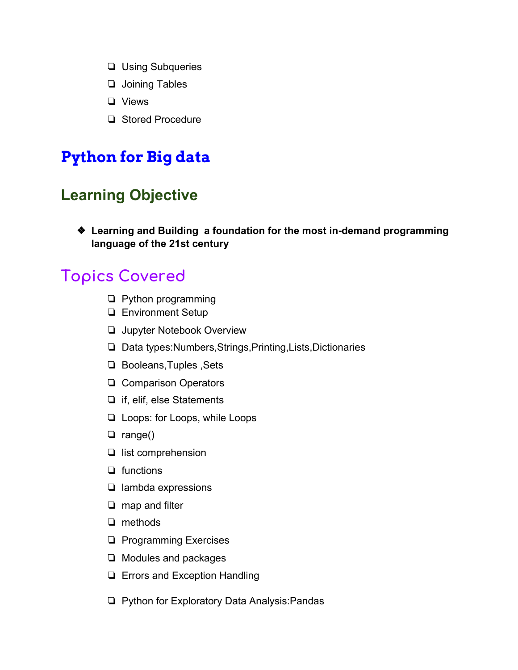- ❏ Using Subqueries
- ❏ Joining Tables
- ❏ Views
- ❏ Stored Procedure

### **Python for Big data**

### **Learning Objective**

❖ **Learning and Building a foundation for the most in-demand programming language of the 21st century**

- ❏ Python programming
- ❏ Environment Setup
- ❏ Jupyter Notebook Overview
- ❏ Data types:Numbers,Strings,Printing,Lists,Dictionaries
- ❏ Booleans,Tuples ,Sets
- ❏ Comparison Operators
- ❏ if, elif, else Statements
- ❏ Loops: for Loops, while Loops
- ❏ range()
- ❏ list comprehension
- ❏ functions
- ❏ lambda expressions
- ❏ map and filter
- ❏ methods
- ❏ Programming Exercises
- ❏ Modules and packages
- ❏ Errors and Exception Handling
- ❏ Python for Exploratory Data Analysis:Pandas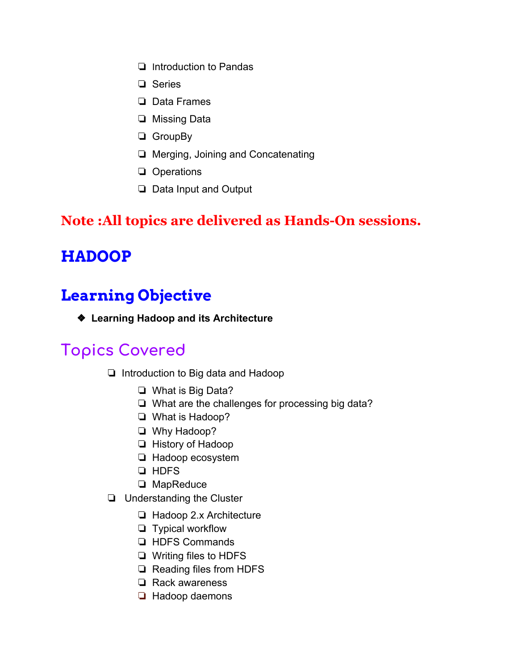- ❏ Introduction to Pandas
- ❏ Series
- ❏ Data Frames
- ❏ Missing Data
- ❏ GroupBy
- ❏ Merging, Joining and Concatenating
- ❏ Operations
- ❏ Data Input and Output

#### **Note :All topics are delivered as Hands-On sessions.**

### **HADOOP**

### **Learning Objective**

❖ **Learning Hadoop and its Architecture**

- ❏ Introduction to Big data and Hadoop
	- ❏ What is Big Data?
	- ❏ What are the challenges for processing big data?
	- ❏ What is Hadoop?
	- ❏ Why Hadoop?
	- ❏ History of Hadoop
	- ❏ Hadoop ecosystem
	- ❏ HDFS
	- ❏ MapReduce
- ❏ Understanding the Cluster
	- ❏ Hadoop 2.x Architecture
	- ❏ Typical workflow
	- ❏ HDFS Commands
	- ❏ Writing files to HDFS
	- ❏ Reading files from HDFS
	- ❏ Rack awareness
	- ❏ Hadoop daemons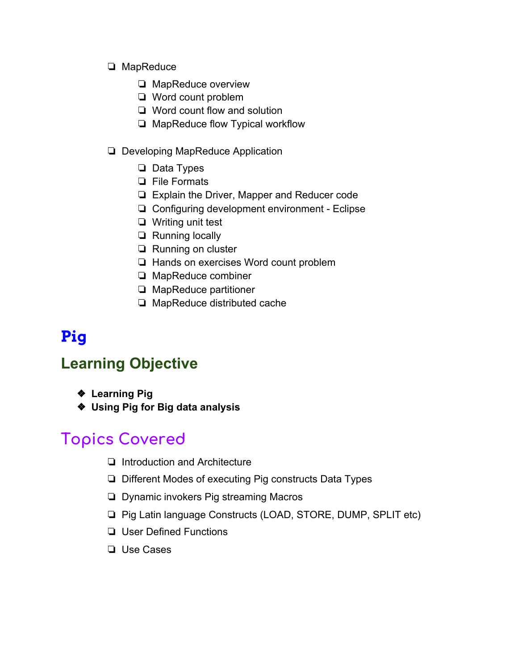#### ❏ MapReduce

- ❏ MapReduce overview
- ❏ Word count problem
- ❏ Word count flow and solution
- ❏ MapReduce flow Typical workflow
- ❏ Developing MapReduce Application
	- ❏ Data Types
	- ❏ File Formats
	- ❏ Explain the Driver, Mapper and Reducer code
	- ❏ Configuring development environment Eclipse
	- ❏ Writing unit test
	- ❏ Running locally
	- ❏ Running on cluster
	- ❏ Hands on exercises Word count problem
	- ❏ MapReduce combiner
	- ❏ MapReduce partitioner
	- ❏ MapReduce distributed cache

## **Pig**

### **Learning Objective**

- ❖ **Learning Pig**
- ❖ **Using Pig for Big data analysis**

- ❏ Introduction and Architecture
- ❏ Different Modes of executing Pig constructs Data Types
- ❏ Dynamic invokers Pig streaming Macros
- ❏ Pig Latin language Constructs (LOAD, STORE, DUMP, SPLIT etc)
- ❏ User Defined Functions
- ❏ Use Cases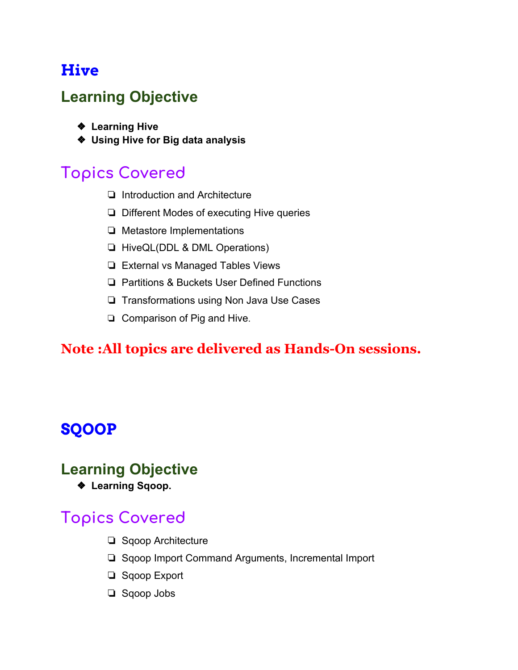### **Hive**

### **Learning Objective**

- ❖ **Learning Hive**
- ❖ **Using Hive for Big data analysis**

### **Topics Covered**

- ❏ Introduction and Architecture
- ❏ Different Modes of executing Hive queries
- ❏ Metastore Implementations
- ❏ HiveQL(DDL & DML Operations)
- ❏ External vs Managed Tables Views
- ❏ Partitions & Buckets User Defined Functions
- ❏ Transformations using Non Java Use Cases
- ❏ Comparison of Pig and Hive.

#### **Note :All topics are delivered as Hands-On sessions.**

### **SQOOP**

#### **Learning Objective**

❖ **Learning Sqoop.**

- ❏ Sqoop Architecture
- ❏ Sqoop Import Command Arguments, Incremental Import
- ❏ Sqoop Export
- ❏ Sqoop Jobs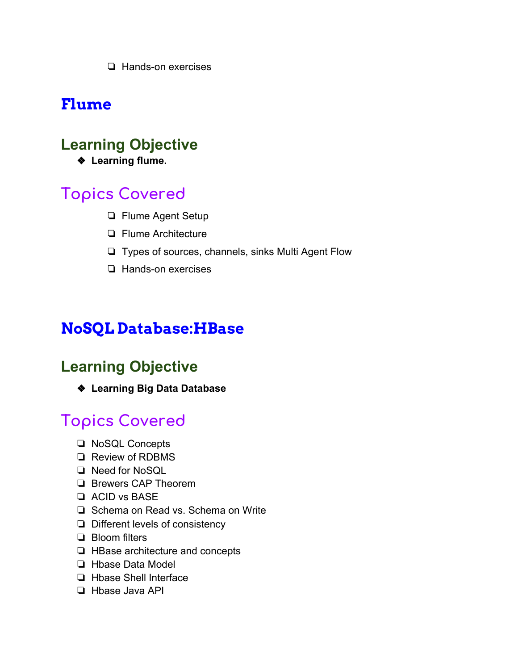❏ Hands-on exercises

### **Flume**

### **Learning Objective**

❖ **Learning flume.**

### **Topics Covered**

- ❏ Flume Agent Setup
- ❏ Flume Architecture
- ❏ Types of sources, channels, sinks Multi Agent Flow
- ❏ Hands-on exercises

### **NoSQL Database:HBase**

### **Learning Objective**

❖ **Learning Big Data Database**

- ❏ NoSQL Concepts
- ❏ Review of RDBMS
- ❏ Need for NoSQL
- ❏ Brewers CAP Theorem
- ❏ ACID vs BASE
- ❏ Schema on Read vs. Schema on Write
- ❏ Different levels of consistency
- ❏ Bloom filters
- ❏ HBase architecture and concepts
- ❏ Hbase Data Model
- ❏ Hbase Shell Interface
- ❏ Hbase Java API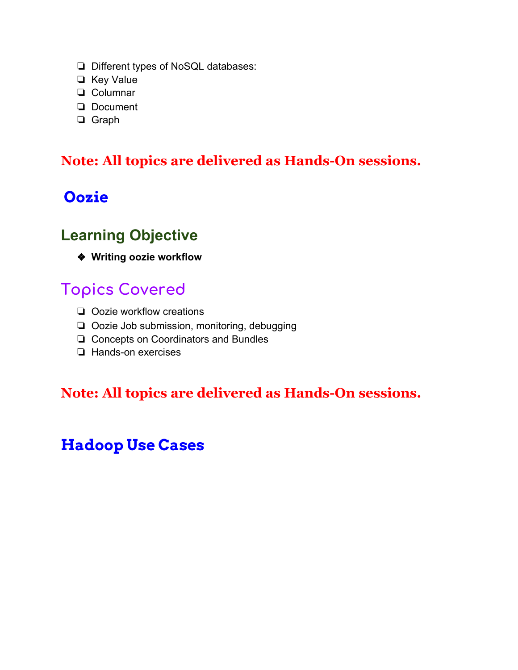- ❏ Different types of NoSQL databases:
- ❏ Key Value
- ❏ Columnar
- ❏ Document
- ❏ Graph

#### **Note: All topics are delivered as Hands-On sessions.**

### **Oozie**

### **Learning Objective**

❖ **Writing oozie workflow**

### **Topics Covered**

- ❏ Oozie workflow creations
- ❏ Oozie Job submission, monitoring, debugging
- ❏ Concepts on Coordinators and Bundles
- ❏ Hands-on exercises

#### **Note: All topics are delivered as Hands-On sessions.**

### **Hadoop Use Cases**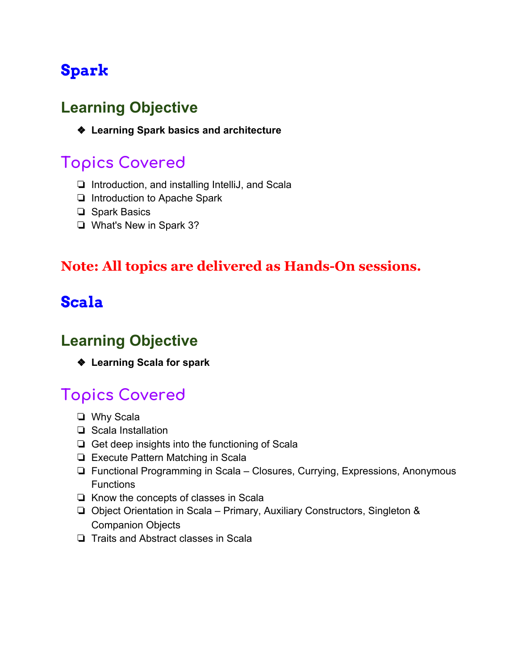## **Spark**

### **Learning Objective**

❖ **Learning Spark basics and architecture**

### **Topics Covered**

- ❏ Introduction, and installing IntelliJ, and Scala
- ❏ Introduction to Apache Spark
- ❏ Spark Basics
- ❏ What's New in Spark 3?

#### **Note: All topics are delivered as Hands-On sessions.**

### **Scala**

### **Learning Objective**

❖ **Learning Scala for spark**

- ❏ Why Scala
- ❏ Scala Installation
- ❏ Get deep insights into the functioning of Scala
- ❏ Execute Pattern Matching in Scala
- ❏ Functional Programming in Scala Closures, Currying, Expressions, Anonymous **Functions**
- ❏ Know the concepts of classes in Scala
- ❏ Object Orientation in Scala Primary, Auxiliary Constructors, Singleton & Companion Objects
- ❏ Traits and Abstract classes in Scala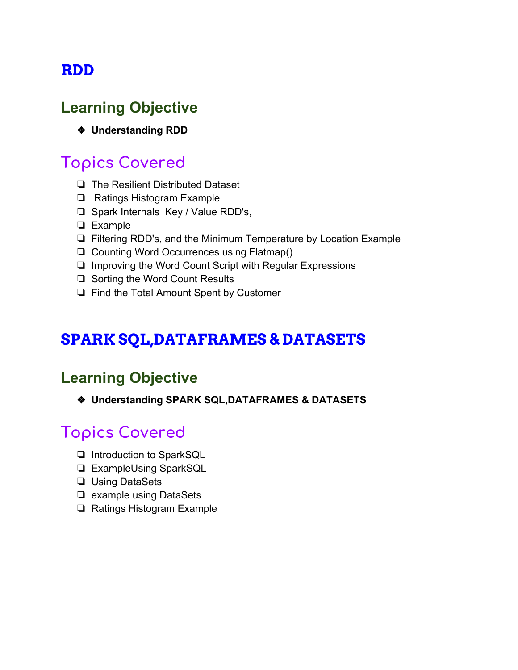### **RDD**

### **Learning Objective**

❖ **Understanding RDD**

### **Topics Covered**

- ❏ The Resilient Distributed Dataset
- ❏ Ratings Histogram Example
- ❏ Spark Internals Key / Value RDD's,
- ❏ Example
- ❏ Filtering RDD's, and the Minimum Temperature by Location Example
- ❏ Counting Word Occurrences using Flatmap()
- ❏ Improving the Word Count Script with Regular Expressions
- ❏ Sorting the Word Count Results
- ❏ Find the Total Amount Spent by Customer

### **SPARK SQL,DATAFRAMES & DATASETS**

### **Learning Objective**

❖ **Understanding SPARK SQL,DATAFRAMES & DATASETS**

- ❏ Introduction to SparkSQL
- ❏ ExampleUsing SparkSQL
- ❏ Using DataSets
- ❏ example using DataSets
- ❏ Ratings Histogram Example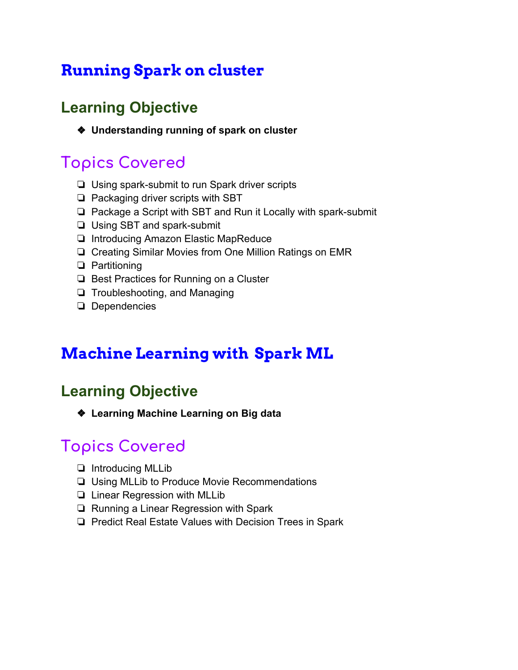### **Running Spark on cluster**

### **Learning Objective**

❖ **Understanding running of spark on cluster**

### **Topics Covered**

- ❏ Using spark-submit to run Spark driver scripts
- ❏ Packaging driver scripts with SBT
- ❏ Package a Script with SBT and Run it Locally with spark-submit
- ❏ Using SBT and spark-submit
- ❏ Introducing Amazon Elastic MapReduce
- ❏ Creating Similar Movies from One Million Ratings on EMR
- ❏ Partitioning
- ❏ Best Practices for Running on a Cluster
- ❏ Troubleshooting, and Managing
- ❏ Dependencies

### **Machine Learning with Spark ML**

### **Learning Objective**

❖ **Learning Machine Learning on Big data**

- ❏ Introducing MLLib
- ❏ Using MLLib to Produce Movie Recommendations
- ❏ Linear Regression with MLLib
- ❏ Running a Linear Regression with Spark
- ❏ Predict Real Estate Values with Decision Trees in Spark